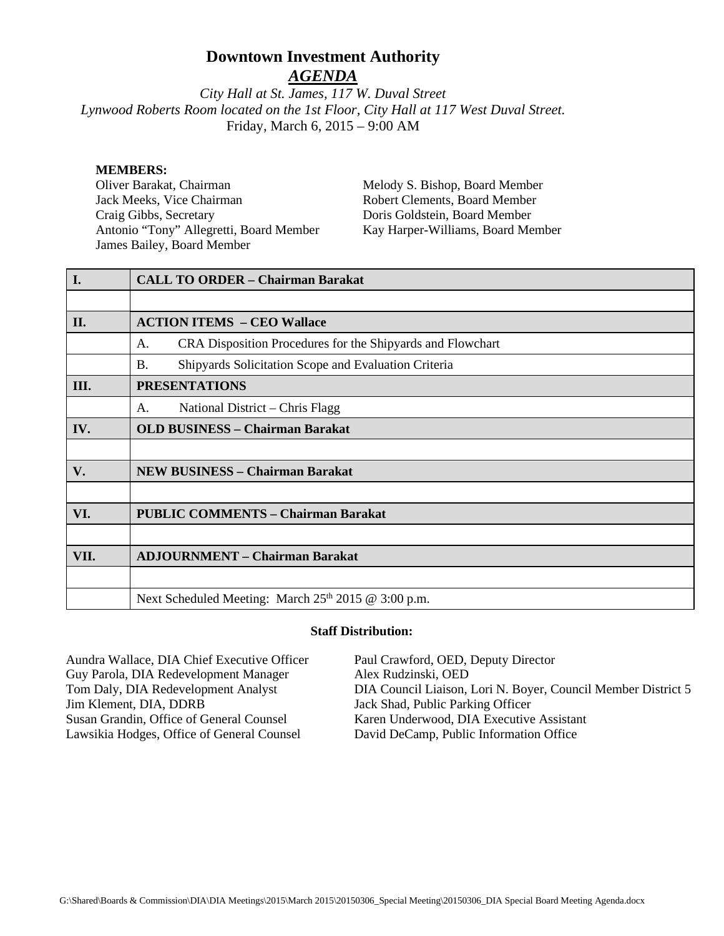# **Downtown Investment Authority**

*AGENDA*

*City Hall at St. James, 117 W. Duval Street Lynwood Roberts Room located on the 1st Floor, City Hall at 117 West Duval Street.*  Friday, March 6, 2015 – 9:00 AM

#### **MEMBERS:**

Oliver Barakat, Chairman Jack Meeks, Vice Chairman Craig Gibbs, Secretary Antonio "Tony" Allegretti, Board Member James Bailey, Board Member

Melody S. Bishop, Board Member Robert Clements, Board Member Doris Goldstein, Board Member Kay Harper-Williams, Board Member

| <b>I.</b> | <b>CALL TO ORDER - Chairman Barakat</b>                           |  |
|-----------|-------------------------------------------------------------------|--|
|           |                                                                   |  |
| II.       | <b>ACTION ITEMS - CEO Wallace</b>                                 |  |
|           | CRA Disposition Procedures for the Shipyards and Flowchart<br>A.  |  |
|           | <b>B.</b><br>Shipyards Solicitation Scope and Evaluation Criteria |  |
| III.      | <b>PRESENTATIONS</b>                                              |  |
|           | National District – Chris Flagg<br>A.                             |  |
| IV.       | <b>OLD BUSINESS - Chairman Barakat</b>                            |  |
|           |                                                                   |  |
| V.        | <b>NEW BUSINESS - Chairman Barakat</b>                            |  |
|           |                                                                   |  |
| VI.       | <b>PUBLIC COMMENTS - Chairman Barakat</b>                         |  |
|           |                                                                   |  |
| VII.      | <b>ADJOURNMENT – Chairman Barakat</b>                             |  |
|           |                                                                   |  |
|           | Next Scheduled Meeting: March 25 <sup>th</sup> 2015 @ 3:00 p.m.   |  |

#### **Staff Distribution:**

| Aundra Wallace, DIA Chief Executive Officer | Paul Crawford, OED, Deputy Director                           |
|---------------------------------------------|---------------------------------------------------------------|
| Guy Parola, DIA Redevelopment Manager       | Alex Rudzinski, OED                                           |
| Tom Daly, DIA Redevelopment Analyst         | DIA Council Liaison, Lori N. Boyer, Council Member District 5 |
| Jim Klement, DIA, DDRB                      | Jack Shad, Public Parking Officer                             |
| Susan Grandin, Office of General Counsel    | Karen Underwood, DIA Executive Assistant                      |
| Lawsikia Hodges, Office of General Counsel  | David DeCamp, Public Information Office                       |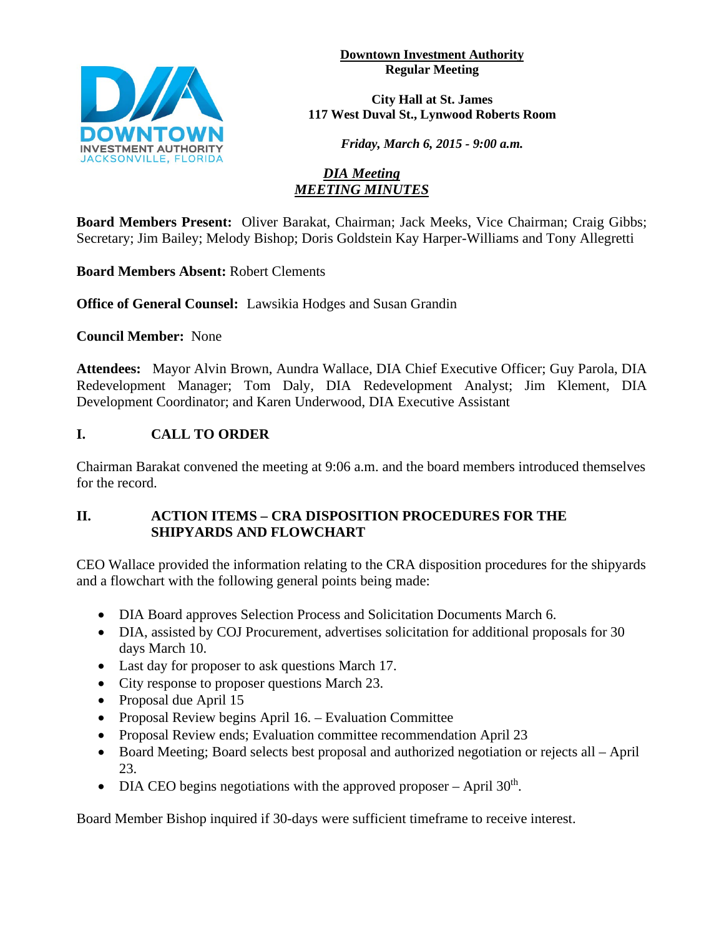**Downtown Investment Authority Regular Meeting** 



**City Hall at St. James 117 West Duval St., Lynwood Roberts Room**

*Friday, March 6, 2015 - 9:00 a.m.*

#### *DIA Meeting MEETING MINUTES*

**Board Members Present:** Oliver Barakat, Chairman; Jack Meeks, Vice Chairman; Craig Gibbs; Secretary; Jim Bailey; Melody Bishop; Doris Goldstein Kay Harper-Williams and Tony Allegretti

**Board Members Absent:** Robert Clements

**Office of General Counsel:** Lawsikia Hodges and Susan Grandin

**Council Member:** None

**Attendees:** Mayor Alvin Brown, Aundra Wallace, DIA Chief Executive Officer; Guy Parola, DIA Redevelopment Manager; Tom Daly, DIA Redevelopment Analyst; Jim Klement, DIA Development Coordinator; and Karen Underwood, DIA Executive Assistant

# **I. CALL TO ORDER**

Chairman Barakat convened the meeting at 9:06 a.m. and the board members introduced themselves for the record.

# **II. ACTION ITEMS – CRA DISPOSITION PROCEDURES FOR THE SHIPYARDS AND FLOWCHART**

CEO Wallace provided the information relating to the CRA disposition procedures for the shipyards and a flowchart with the following general points being made:

- DIA Board approves Selection Process and Solicitation Documents March 6.
- DIA, assisted by COJ Procurement, advertises solicitation for additional proposals for 30 days March 10.
- Last day for proposer to ask questions March 17.
- City response to proposer questions March 23.
- Proposal due April 15
- Proposal Review begins April 16. Evaluation Committee
- Proposal Review ends; Evaluation committee recommendation April 23
- Board Meeting; Board selects best proposal and authorized negotiation or rejects all April 23.
- DIA CEO begins negotiations with the approved proposer April  $30<sup>th</sup>$ .

Board Member Bishop inquired if 30-days were sufficient timeframe to receive interest.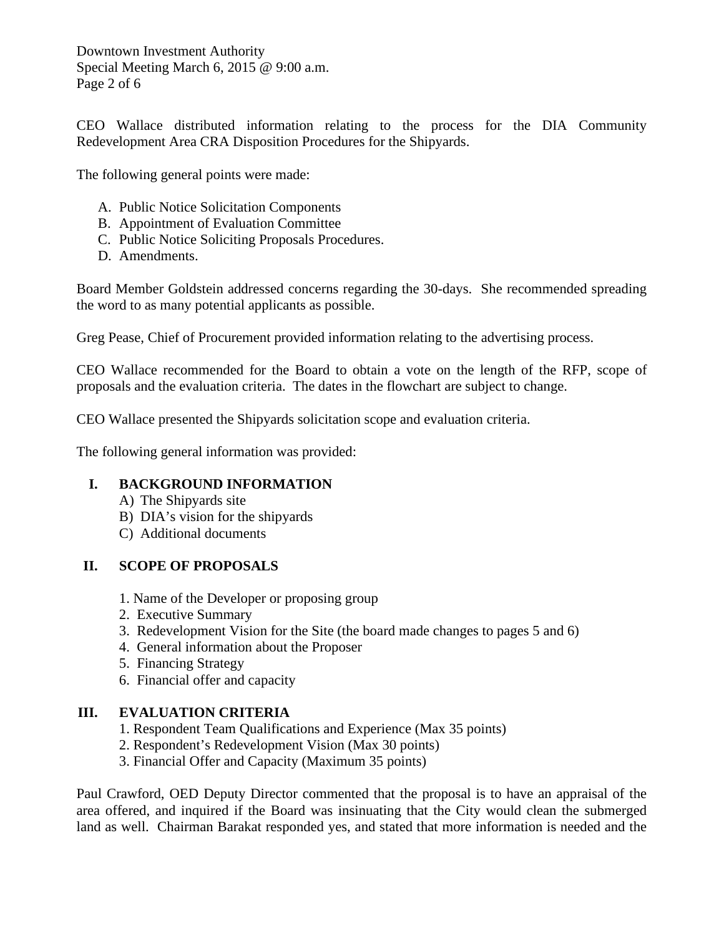Downtown Investment Authority Special Meeting March 6, 2015 @ 9:00 a.m. Page 2 of 6

CEO Wallace distributed information relating to the process for the DIA Community Redevelopment Area CRA Disposition Procedures for the Shipyards.

The following general points were made:

- A. Public Notice Solicitation Components
- B. Appointment of Evaluation Committee
- C. Public Notice Soliciting Proposals Procedures.
- D. Amendments.

Board Member Goldstein addressed concerns regarding the 30-days. She recommended spreading the word to as many potential applicants as possible.

Greg Pease, Chief of Procurement provided information relating to the advertising process.

CEO Wallace recommended for the Board to obtain a vote on the length of the RFP, scope of proposals and the evaluation criteria. The dates in the flowchart are subject to change.

CEO Wallace presented the Shipyards solicitation scope and evaluation criteria.

The following general information was provided:

#### **I. BACKGROUND INFORMATION**

- A) The Shipyards site
- B) DIA's vision for the shipyards
- C) Additional documents

# **II. SCOPE OF PROPOSALS**

- 1. Name of the Developer or proposing group
- 2. Executive Summary
- 3. Redevelopment Vision for the Site (the board made changes to pages 5 and 6)
- 4. General information about the Proposer
- 5. Financing Strategy
- 6. Financial offer and capacity

# **III. EVALUATION CRITERIA**

- 1. Respondent Team Qualifications and Experience (Max 35 points)
- 2. Respondent's Redevelopment Vision (Max 30 points)
- 3. Financial Offer and Capacity (Maximum 35 points)

Paul Crawford, OED Deputy Director commented that the proposal is to have an appraisal of the area offered, and inquired if the Board was insinuating that the City would clean the submerged land as well. Chairman Barakat responded yes, and stated that more information is needed and the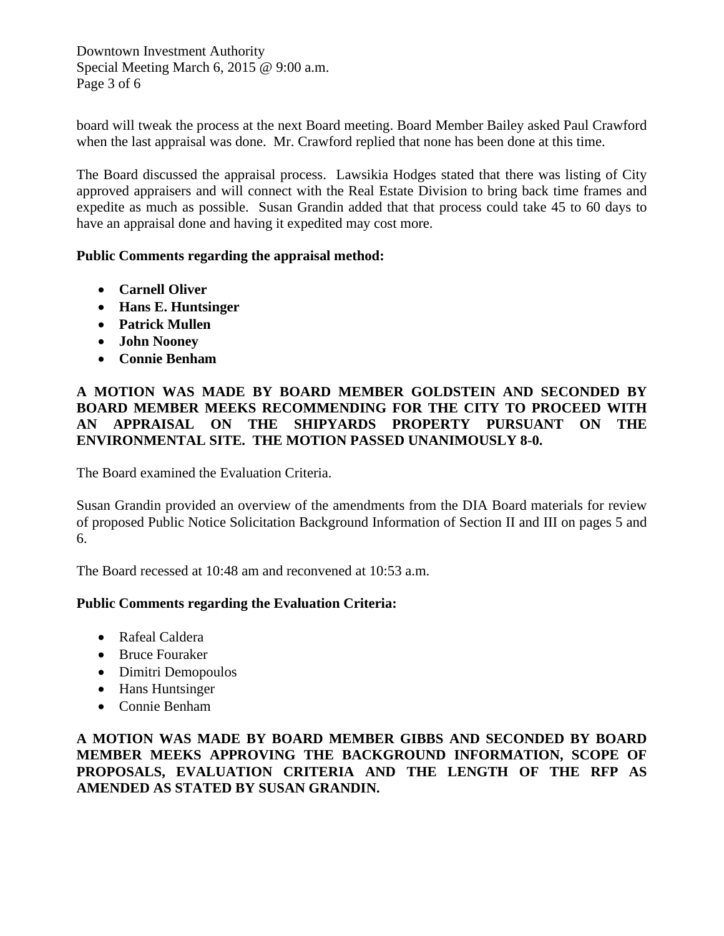Downtown Investment Authority Special Meeting March 6, 2015 @ 9:00 a.m. Page 3 of 6

board will tweak the process at the next Board meeting. Board Member Bailey asked Paul Crawford when the last appraisal was done. Mr. Crawford replied that none has been done at this time.

The Board discussed the appraisal process. Lawsikia Hodges stated that there was listing of City approved appraisers and will connect with the Real Estate Division to bring back time frames and expedite as much as possible. Susan Grandin added that that process could take 45 to 60 days to have an appraisal done and having it expedited may cost more.

#### **Public Comments regarding the appraisal method:**

- **Carnell Oliver**
- **Hans E. Huntsinger**
- **Patrick Mullen**
- **John Nooney**
- **Connie Benham**

#### **A MOTION WAS MADE BY BOARD MEMBER GOLDSTEIN AND SECONDED BY BOARD MEMBER MEEKS RECOMMENDING FOR THE CITY TO PROCEED WITH AN APPRAISAL ON THE SHIPYARDS PROPERTY PURSUANT ON THE ENVIRONMENTAL SITE. THE MOTION PASSED UNANIMOUSLY 8-0.**

The Board examined the Evaluation Criteria.

Susan Grandin provided an overview of the amendments from the DIA Board materials for review of proposed Public Notice Solicitation Background Information of Section II and III on pages 5 and 6.

The Board recessed at 10:48 am and reconvened at 10:53 a.m.

# **Public Comments regarding the Evaluation Criteria:**

- Rafeal Caldera
- Bruce Fouraker
- Dimitri Demopoulos
- Hans Huntsinger
- Connie Benham

**A MOTION WAS MADE BY BOARD MEMBER GIBBS AND SECONDED BY BOARD MEMBER MEEKS APPROVING THE BACKGROUND INFORMATION, SCOPE OF PROPOSALS, EVALUATION CRITERIA AND THE LENGTH OF THE RFP AS AMENDED AS STATED BY SUSAN GRANDIN.**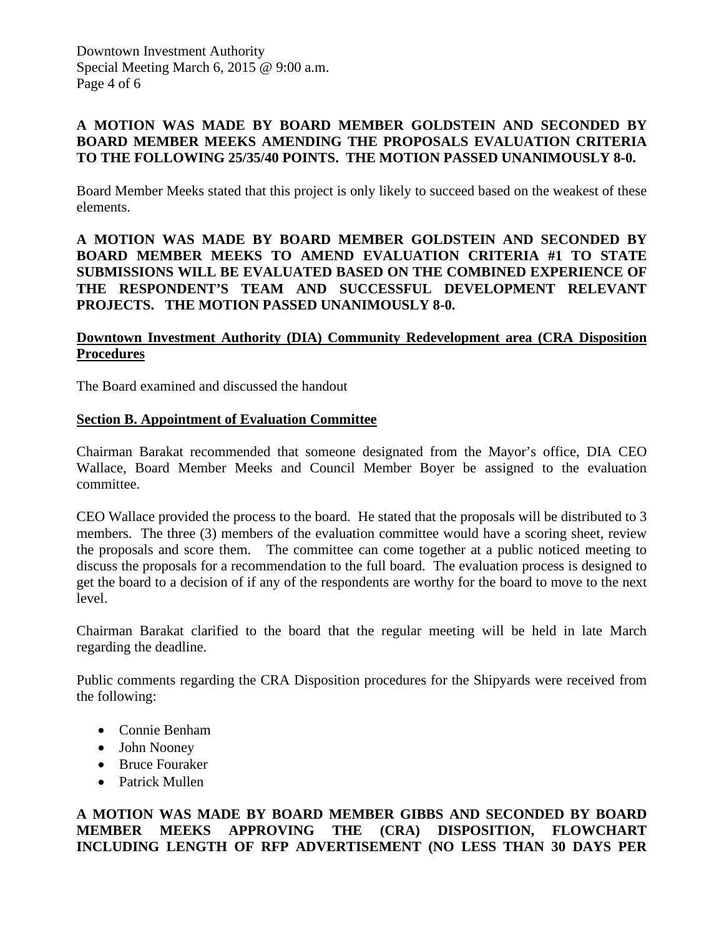# **A MOTION WAS MADE BY BOARD MEMBER GOLDSTEIN AND SECONDED BY BOARD MEMBER MEEKS AMENDING THE PROPOSALS EVALUATION CRITERIA TO THE FOLLOWING 25/35/40 POINTS. THE MOTION PASSED UNANIMOUSLY 8-0.**

Board Member Meeks stated that this project is only likely to succeed based on the weakest of these elements.

#### **A MOTION WAS MADE BY BOARD MEMBER GOLDSTEIN AND SECONDED BY BOARD MEMBER MEEKS TO AMEND EVALUATION CRITERIA #1 TO STATE SUBMISSIONS WILL BE EVALUATED BASED ON THE COMBINED EXPERIENCE OF THE RESPONDENT'S TEAM AND SUCCESSFUL DEVELOPMENT RELEVANT PROJECTS. THE MOTION PASSED UNANIMOUSLY 8-0.**

# **Downtown Investment Authority (DIA) Community Redevelopment area (CRA Disposition Procedures**

The Board examined and discussed the handout

#### **Section B. Appointment of Evaluation Committee**

Chairman Barakat recommended that someone designated from the Mayor's office, DIA CEO Wallace, Board Member Meeks and Council Member Boyer be assigned to the evaluation committee.

CEO Wallace provided the process to the board. He stated that the proposals will be distributed to 3 members. The three (3) members of the evaluation committee would have a scoring sheet, review the proposals and score them. The committee can come together at a public noticed meeting to discuss the proposals for a recommendation to the full board. The evaluation process is designed to get the board to a decision of if any of the respondents are worthy for the board to move to the next level.

Chairman Barakat clarified to the board that the regular meeting will be held in late March regarding the deadline.

Public comments regarding the CRA Disposition procedures for the Shipyards were received from the following:

- Connie Benham
- John Nooney
- Bruce Fouraker
- Patrick Mullen

# **A MOTION WAS MADE BY BOARD MEMBER GIBBS AND SECONDED BY BOARD MEMBER MEEKS APPROVING THE (CRA) DISPOSITION, FLOWCHART INCLUDING LENGTH OF RFP ADVERTISEMENT (NO LESS THAN 30 DAYS PER**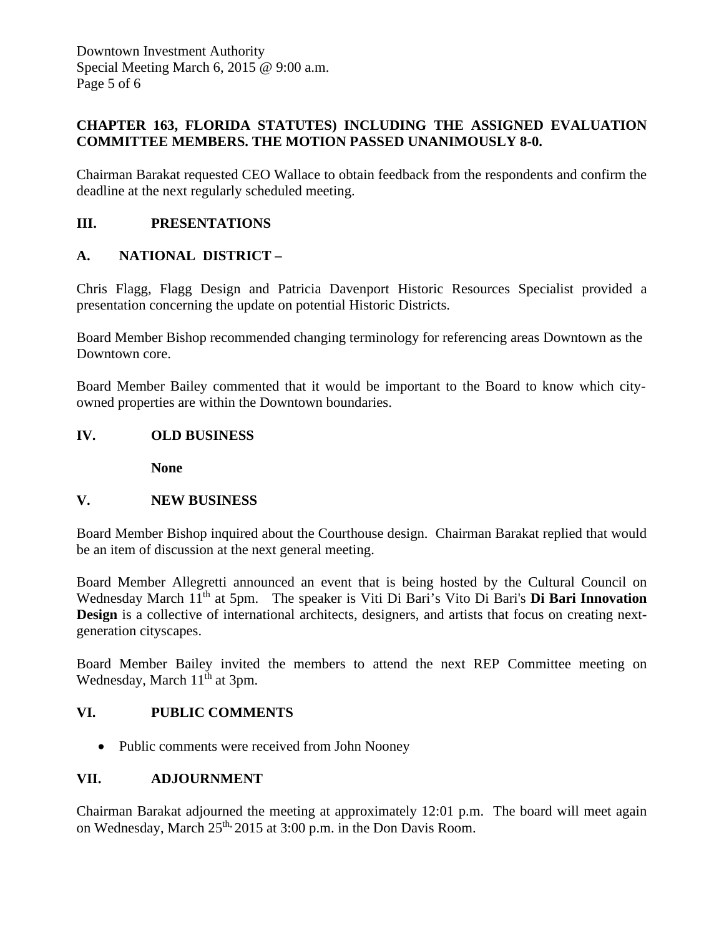# **CHAPTER 163, FLORIDA STATUTES) INCLUDING THE ASSIGNED EVALUATION COMMITTEE MEMBERS. THE MOTION PASSED UNANIMOUSLY 8-0.**

Chairman Barakat requested CEO Wallace to obtain feedback from the respondents and confirm the deadline at the next regularly scheduled meeting.

# **III. PRESENTATIONS**

# **A. NATIONAL DISTRICT –**

Chris Flagg, Flagg Design and Patricia Davenport Historic Resources Specialist provided a presentation concerning the update on potential Historic Districts.

Board Member Bishop recommended changing terminology for referencing areas Downtown as the Downtown core.

Board Member Bailey commented that it would be important to the Board to know which cityowned properties are within the Downtown boundaries.

#### **IV. OLD BUSINESS**

 **None** 

#### **V. NEW BUSINESS**

Board Member Bishop inquired about the Courthouse design. Chairman Barakat replied that would be an item of discussion at the next general meeting.

Board Member Allegretti announced an event that is being hosted by the Cultural Council on Wednesday March 11<sup>th</sup> at 5pm. The speaker is Viti Di Bari's Vito Di Bari's **Di Bari Innovation Design** is a collective of international architects, designers, and artists that focus on creating nextgeneration cityscapes.

Board Member Bailey invited the members to attend the next REP Committee meeting on Wednesday, March  $11<sup>th</sup>$  at 3pm.

#### **VI. PUBLIC COMMENTS**

• Public comments were received from John Nooney

#### **VII. ADJOURNMENT**

Chairman Barakat adjourned the meeting at approximately 12:01 p.m. The board will meet again on Wednesday, March 25<sup>th, 2015</sup> at 3:00 p.m. in the Don Davis Room.